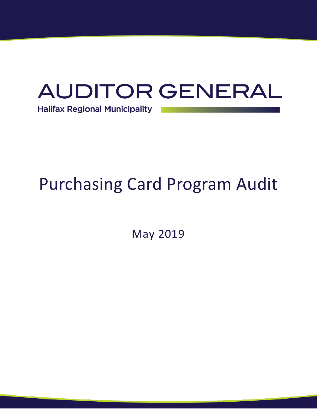# **AUDITOR GENERAL Halifax Regional Municipality**

# Purchasing Card Program Audit

May 2019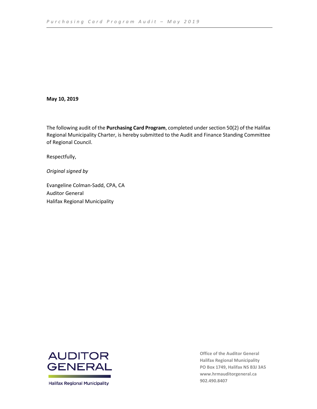#### **May 10, 2019**

The following audit of the **Purchasing Card Program**, completed under section 50(2) of the Halifax Regional Municipality Charter, is hereby submitted to the Audit and Finance Standing Committee of Regional Council.

Respectfully,

*Original signed by*

Evangeline Colman-Sadd, CPA, CA Auditor General Halifax Regional Municipality



**Halifax Regional Municipality** 

**Office of the Auditor General Halifax Regional Municipality PO Box 1749, Halifax NS B3J 3A5 [www.hrmauditorgeneral.ca](http://www.hrmauditorgeneral.ca/) 902.490.8407**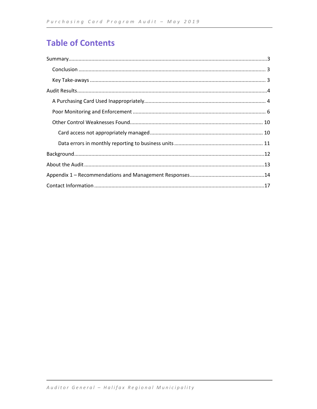### **Table of Contents**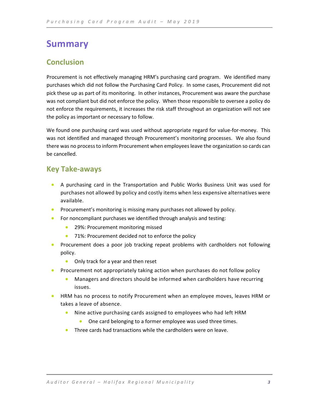### <span id="page-3-0"></span>**Summary**

### <span id="page-3-1"></span>**Conclusion**

Procurement is not effectively managing HRM's purchasing card program. We identified many purchases which did not follow the Purchasing Card Policy. In some cases, Procurement did not pick these up as part of its monitoring. In other instances, Procurement was aware the purchase was not compliant but did not enforce the policy. When those responsible to oversee a policy do not enforce the requirements, it increases the risk staff throughout an organization will not see the policy as important or necessary to follow.

We found one purchasing card was used without appropriate regard for value-for-money. This was not identified and managed through Procurement's monitoring processes. We also found there was no process to inform Procurement when employees leave the organization so cards can be cancelled.

### <span id="page-3-2"></span>**Key Take-aways**

- A purchasing card in the Transportation and Public Works Business Unit was used for purchases not allowed by policy and costly items when less expensive alternatives were available.
- Procurement's monitoring is missing many purchases not allowed by policy.
- For noncompliant purchases we identified through analysis and testing:
	- 29%: Procurement monitoring missed
	- 71%: Procurement decided not to enforce the policy
- Procurement does a poor job tracking repeat problems with cardholders not following policy.
	- Only track for a year and then reset
- Procurement not appropriately taking action when purchases do not follow policy
	- Managers and directors should be informed when cardholders have recurring issues.
- HRM has no process to notify Procurement when an employee moves, leaves HRM or takes a leave of absence.
	- Nine active purchasing cards assigned to employees who had left HRM
		- One card belonging to a former employee was used three times.
	- Three cards had transactions while the cardholders were on leave.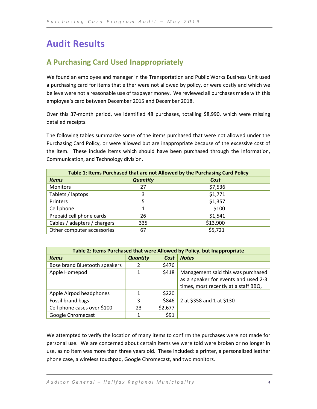# <span id="page-4-0"></span>**Audit Results**

### <span id="page-4-1"></span>**A Purchasing Card Used Inappropriately**

We found an employee and manager in the Transportation and Public Works Business Unit used a purchasing card for items that either were not allowed by policy, or were costly and which we believe were not a reasonable use of taxpayer money. We reviewed all purchases made with this employee's card between December 2015 and December 2018.

Over this 37-month period, we identified 48 purchases, totalling \$8,990, which were missing detailed receipts.

The following tables summarize some of the items purchased that were not allowed under the Purchasing Card Policy, or were allowed but are inappropriate because of the excessive cost of the item. These include items which should have been purchased through the Information, Communication, and Technology division.

| Table 1: Items Purchased that are not Allowed by the Purchasing Card Policy |                 |          |  |  |  |
|-----------------------------------------------------------------------------|-----------------|----------|--|--|--|
| <b>Items</b>                                                                | <b>Quantity</b> | Cost     |  |  |  |
| <b>Monitors</b>                                                             | 27              | \$7,536  |  |  |  |
| Tablets / laptops                                                           | 3               | \$1,771  |  |  |  |
| Printers                                                                    | 5               | \$1,357  |  |  |  |
| Cell phone                                                                  | 1               | \$100    |  |  |  |
| Prepaid cell phone cards                                                    | 26              | \$1,541  |  |  |  |
| Cables / adapters / chargers                                                | 335             | \$13,900 |  |  |  |
| Other computer accessories                                                  | 67              | \$5,721  |  |  |  |

| Table 2: Items Purchased that were Allowed by Policy, but Inappropriate |                 |         |                                      |  |  |  |
|-------------------------------------------------------------------------|-----------------|---------|--------------------------------------|--|--|--|
| <b>Items</b>                                                            | <b>Quantity</b> | Cost    | <b>Notes</b>                         |  |  |  |
| Bose brand Bluetooth speakers                                           | 2               | \$476   |                                      |  |  |  |
| Apple Homepod                                                           | 1               | \$418   | Management said this was purchased   |  |  |  |
|                                                                         |                 |         | as a speaker for events and used 2-3 |  |  |  |
|                                                                         |                 |         | times, most recently at a staff BBQ. |  |  |  |
| Apple Airpod headphones                                                 | 1               | \$220   |                                      |  |  |  |
| Fossil brand bags                                                       | 3               | \$846   | 2 at \$358 and 1 at \$130            |  |  |  |
| Cell phone cases over \$100                                             | 23              | \$2,677 |                                      |  |  |  |
| Google Chromecast                                                       |                 | \$91    |                                      |  |  |  |

We attempted to verify the location of many items to confirm the purchases were not made for personal use. We are concerned about certain items we were told were broken or no longer in use, as no item was more than three years old. These included: a printer, a personalized leather phone case, a wireless touchpad, Google Chromecast, and two monitors.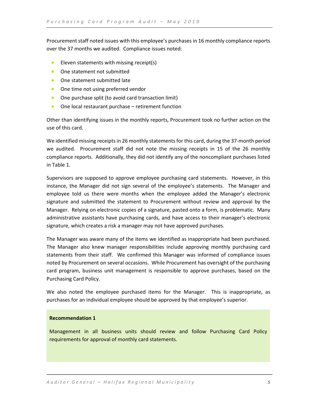Procurement staff noted issues with this employee's purchases in 16 monthly compliance reports over the 37 months we audited. Compliance issues noted:

- Eleven statements with missing receipt(s)
- One statement not submitted
- One statement submitted late
- One time not using preferred vendor
- One purchase split (to avoid card transaction limit)
- One local restaurant purchase retirement function

Other than identifying issues in the monthly reports, Procurement took no further action on the use of this card.

We identified missing receipts in 26 monthly statements for this card, during the 37-month period we audited. Procurement staff did not note the missing receipts in 15 of the 26 monthly compliance reports. Additionally, they did not identify any of the noncompliant purchases listed in Table 1.

Supervisors are supposed to approve employee purchasing card statements. However, in this instance, the Manager did not sign several of the employee's statements. The Manager and employee told us there were months when the employee added the Manager's electronic signature and submitted the statement to Procurement without review and approval by the Manager. Relying on electronic copies of a signature, pasted onto a form, is problematic. Many administrative assistants have purchasing cards, and have access to their manager's electronic signature, which creates a risk a manager may not have approved purchases.

The Manager was aware many of the items we identified as inappropriate had been purchased. The Manager also knew manager responsibilities include approving monthly purchasing card statements from their staff. We confirmed this Manager was informed of compliance issues noted by Procurement on several occasions. While Procurement has oversight of the purchasing card program, business unit management is responsible to approve purchases, based on the Purchasing Card Policy.

We also noted the employee purchased items for the Manager. This is inappropriate, as purchases for an individual employee should be approved by that employee's superior.

#### **Recommendation 1**

Management in all business units should review and follow Purchasing Card Policy requirements for approval of monthly card statements.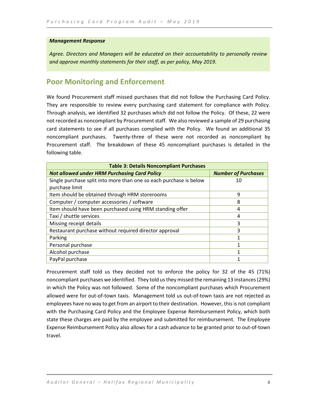#### *Management Response*

*Agree. Directors and Managers will be educated on their accountability to personally review and approve monthly statements for their staff, as per policy, May 2019.*

### <span id="page-6-0"></span>**Poor Monitoring and Enforcement**

We found Procurement staff missed purchases that did not follow the Purchasing Card Policy. They are responsible to review every purchasing card statement for compliance with Policy. Through analysis, we identified 32 purchases which did not follow the Policy. Of these, 22 were not recorded as noncompliant by Procurement staff. We also reviewed a sample of 29 purchasing card statements to see if all purchases complied with the Policy. We found an additional 35 noncompliant purchases. Twenty-three of these were not recorded as noncompliant by Procurement staff. The breakdown of these 45 noncompliant purchases is detailed in the following table.

| <b>Table 3: Details Noncompliant Purchases</b>                     |                            |  |  |  |  |
|--------------------------------------------------------------------|----------------------------|--|--|--|--|
| <b>Not allowed under HRM Purchasing Card Policy</b>                | <b>Number of Purchases</b> |  |  |  |  |
| Single purchase split into more than one so each purchase is below | 10                         |  |  |  |  |
| purchase limit                                                     |                            |  |  |  |  |
| Item should be obtained through HRM storerooms                     | 9                          |  |  |  |  |
| Computer / computer accessories / software                         | 8                          |  |  |  |  |
| Item should have been purchased using HRM standing offer           | 4                          |  |  |  |  |
| Taxi / shuttle services                                            | 4                          |  |  |  |  |
| Missing receipt details                                            | 3                          |  |  |  |  |
| Restaurant purchase without required director approval             | 3                          |  |  |  |  |
| Parking                                                            | 1                          |  |  |  |  |
| Personal purchase                                                  |                            |  |  |  |  |
| Alcohol purchase                                                   | 1                          |  |  |  |  |
| PayPal purchase                                                    |                            |  |  |  |  |

Procurement staff told us they decided not to enforce the policy for 32 of the 45 (71%) noncompliant purchases we identified. They told us they missed the remaining 13 instances(29%) in which the Policy was not followed. Some of the noncompliant purchases which Procurement allowed were for out-of-town taxis. Management told us out-of-town taxis are not rejected as employees have no way to get from an airport to their destination. However, this is not compliant with the Purchasing Card Policy and the Employee Expense Reimbursement Policy, which both state these charges are paid by the employee and submitted for reimbursement. The Employee Expense Reimbursement Policy also allows for a cash advance to be granted prior to out-of-town travel.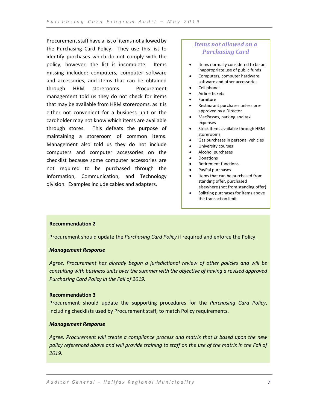Procurement staff have a list of items not allowed by the Purchasing Card Policy. They use this list to identify purchases which do not comply with the policy; however, the list is incomplete. Items missing included: computers, computer software and accessories, and items that can be obtained through HRM storerooms. Procurement management told us they do not check for items that may be available from HRM storerooms, as it is either not convenient for a business unit or the cardholder may not know which items are available through stores. This defeats the purpose of maintaining a storeroom of common items. Management also told us they do not include computers and computer accessories on the checklist because some computer accessories are not required to be purchased through the Information, Communication, and Technology division. Examples include cables and adapters.

### *Items not allowed on a Purchasing Card*

- Items normally considered to be an inappropriate use of public funds
- Computers, computer hardware, software and other accessories
- Cell phones
- Airline tickets
- **Furniture**
- Restaurant purchases unless preapproved by a Director
- MacPasses, parking and taxi expenses
- Stock items available through HRM storerooms
- Gas purchases in personal vehicles
- University courses
- Alcohol purchases
- Donations
- Retirement functions
- PayPal purchases
- Items that can be purchased from standing offer, purchased elsewhere (not from standing offer)
- Splitting purchases for items above the transaction limit

#### **Recommendation 2**

Procurement should update the *Purchasing Card Policy* if required and enforce the Policy.

#### *Management Response*

*Agree. Procurement has already begun a jurisdictional review of other policies and will be consulting with business units over the summer with the objective of having a revised approved Purchasing Card Policy in the Fall of 2019.*

#### **Recommendation 3**

Procurement should update the supporting procedures for the *Purchasing Card Policy*, including checklists used by Procurement staff, to match Policy requirements.

#### *Management Response*

*Agree. Procurement will create a compliance process and matrix that is based upon the new policy referenced above and will provide training to staff on the use of the matrix in the Fall of 2019.*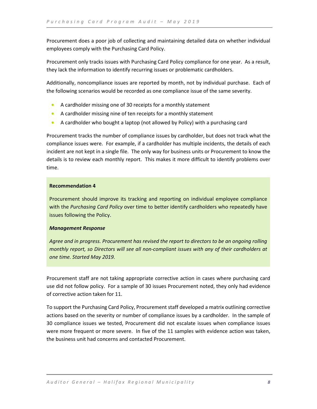Procurement does a poor job of collecting and maintaining detailed data on whether individual employees comply with the Purchasing Card Policy.

Procurement only tracks issues with Purchasing Card Policy compliance for one year. As a result, they lack the information to identify recurring issues or problematic cardholders.

Additionally, noncompliance issues are reported by month, not by individual purchase. Each of the following scenarios would be recorded as one compliance issue of the same severity.

- A cardholder missing one of 30 receipts for a monthly statement
- A cardholder missing nine of ten receipts for a monthly statement
- A cardholder who bought a laptop (not allowed by Policy) with a purchasing card

Procurement tracks the number of compliance issues by cardholder, but does not track what the compliance issues were. For example, if a cardholder has multiple incidents, the details of each incident are not kept in a single file. The only way for business units or Procurement to know the details is to review each monthly report. This makes it more difficult to identify problems over time.

#### **Recommendation 4**

Procurement should improve its tracking and reporting on individual employee compliance with the *Purchasing Card Policy* over time to better identify cardholders who repeatedly have issues following the Policy.

#### *Management Response*

*Agree and in progress. Procurement has revised the report to directors to be an ongoing rolling monthly report, so Directors will see all non-compliant issues with any of their cardholders at one time. Started May 2019.*

Procurement staff are not taking appropriate corrective action in cases where purchasing card use did not follow policy. For a sample of 30 issues Procurement noted, they only had evidence of corrective action taken for 11.

To support the Purchasing Card Policy, Procurement staff developed a matrix outlining corrective actions based on the severity or number of compliance issues by a cardholder. In the sample of 30 compliance issues we tested, Procurement did not escalate issues when compliance issues were more frequent or more severe. In five of the 11 samples with evidence action was taken, the business unit had concerns and contacted Procurement.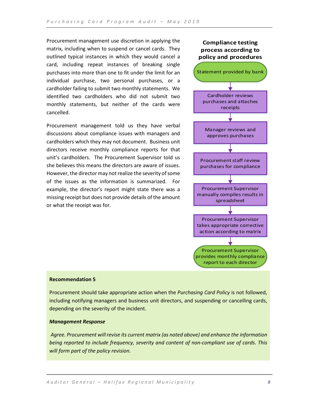Procurement management use discretion in applying the matrix, including when to suspend or cancel cards. They outlined typical instances in which they would cancel a card, including repeat instances of breaking single purchases into more than one to fit under the limit for an individual purchase, two personal purchases, or a cardholder failing to submit two monthly statements. We identified two cardholders who did not submit two monthly statements, but neither of the cards were cancelled.

Procurement management told us they have verbal discussions about compliance issues with managers and cardholders which they may not document. Business unit directors receive monthly compliance reports for that unit's cardholders. The Procurement Supervisor told us she believes this means the directors are aware of issues. However, the director may not realize the severity of some of the issues as the information is summarized. For example, the director's report might state there was a missing receipt but does not provide details of the amount or what the receipt was for.

# Statement provided by bank Cardholder reviews purchases and attaches receipts Manager reviews and approves purchases Procurement staff review purchases for compliance Procurement Supervisor manually compiles results in spreadsheet Procurement Supervisor takes appropriate corrective action according to matrix Procurement Supervisor provides monthly compliance report to each director **Compliance testing process according to policy and procedures**

#### **Recommendation 5**

Procurement should take appropriate action when the *Purchasing Card Policy* is not followed, including notifying managers and business unit directors, and suspending or cancelling cards, depending on the severity of the incident.

#### *Management Response*

*Agree. Procurement will revise its current matrix (as noted above) and enhance the information being reported to include frequency, severity and content of non-compliant use of cards. This will form part of the policy revision.*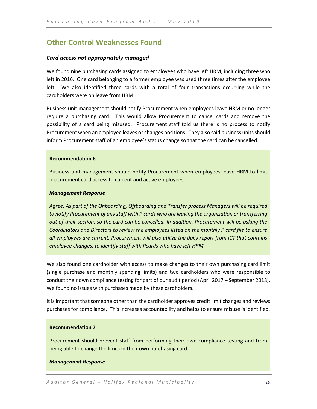### <span id="page-10-0"></span>**Other Control Weaknesses Found**

#### <span id="page-10-1"></span>*Card access not appropriately managed*

We found nine purchasing cards assigned to employees who have left HRM, including three who left in 2016. One card belonging to a former employee was used three times after the employee left. We also identified three cards with a total of four transactions occurring while the cardholders were on leave from HRM.

Business unit management should notify Procurement when employees leave HRM or no longer require a purchasing card. This would allow Procurement to cancel cards and remove the possibility of a card being misused. Procurement staff told us there is no process to notify Procurement when an employee leaves or changes positions. They also said business units should inform Procurement staff of an employee's status change so that the card can be cancelled.

#### **Recommendation 6**

Business unit management should notify Procurement when employees leave HRM to limit procurement card access to current and active employees.

#### *Management Response*

*Agree. As part of the Onboarding, Offboarding and Transfer process Managers will be required to notify Procurement of any staff with P cards who are leaving the organization or transferring out of their section, so the card can be cancelled. In addition, Procurement will be asking the Coordinators and Directors to review the employees listed on the monthly P card file to ensure all employees are current. Procurement will also utilize the daily report from ICT that contains employee changes, to identify staff with Pcards who have left HRM.*

We also found one cardholder with access to make changes to their own purchasing card limit (single purchase and monthly spending limits) and two cardholders who were responsible to conduct their own compliance testing for part of our audit period (April 2017 – September 2018). We found no issues with purchases made by these cardholders.

It is important that someone other than the cardholder approves credit limit changes and reviews purchases for compliance. This increases accountability and helps to ensure misuse is identified.

#### **Recommendation 7**

Procurement should prevent staff from performing their own compliance testing and from being able to change the limit on their own purchasing card.

#### *Management Response*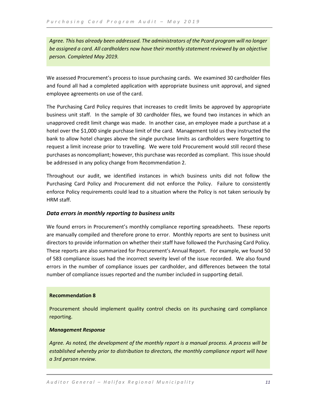*Agree. This has already been addressed. The administrators of the Pcard program will no longer be assigned a card. All cardholders now have their monthly statement reviewed by an objective person. Completed May 2019.*

We assessed Procurement's process to issue purchasing cards. We examined 30 cardholder files and found all had a completed application with appropriate business unit approval, and signed employee agreements on use of the card.

The Purchasing Card Policy requires that increases to credit limits be approved by appropriate business unit staff. In the sample of 30 cardholder files, we found two instances in which an unapproved credit limit change was made. In another case, an employee made a purchase at a hotel over the \$1,000 single purchase limit of the card. Management told us they instructed the bank to allow hotel charges above the single purchase limits as cardholders were forgetting to request a limit increase prior to travelling. We were told Procurement would still record these purchases as noncompliant; however, this purchase was recorded as compliant. This issue should be addressed in any policy change from Recommendation 2.

Throughout our audit, we identified instances in which business units did not follow the Purchasing Card Policy and Procurement did not enforce the Policy. Failure to consistently enforce Policy requirements could lead to a situation where the Policy is not taken seriously by HRM staff.

#### <span id="page-11-0"></span>*Data errors in monthly reporting to business units*

We found errors in Procurement's monthly compliance reporting spreadsheets. These reports are manually compiled and therefore prone to error. Monthly reports are sent to business unit directors to provide information on whether their staff have followed the Purchasing Card Policy. These reports are also summarized for Procurement's Annual Report. For example, we found 50 of 583 compliance issues had the incorrect severity level of the issue recorded. We also found errors in the number of compliance issues per cardholder, and differences between the total number of compliance issues reported and the number included in supporting detail.

#### **Recommendation 8**

Procurement should implement quality control checks on its purchasing card compliance reporting.

#### *Management Response*

*Agree. As noted, the development of the monthly report is a manual process. A process will be established whereby prior to distribution to directors, the monthly compliance report will have a 3rd person review.*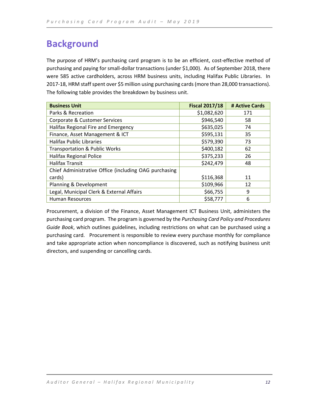# <span id="page-12-0"></span>**Background**

The purpose of HRM's purchasing card program is to be an efficient, cost-effective method of purchasing and paying for small-dollar transactions (under \$1,000). As of September 2018, there were 585 active cardholders, across HRM business units, including Halifax Public Libraries. In 2017-18, HRM staff spent over \$5 million using purchasing cards (more than 28,000 transactions). The following table provides the breakdown by business unit.

| <b>Business Unit</b>                                  | <b>Fiscal 2017/18</b> | # Active Cards |
|-------------------------------------------------------|-----------------------|----------------|
| Parks & Recreation                                    | \$1,082,620           | 171            |
| Corporate & Customer Services                         | \$946,540             | 58             |
| Halifax Regional Fire and Emergency                   | \$635,025             | 74             |
| Finance, Asset Management & ICT                       | \$595,131             | 35             |
| <b>Halifax Public Libraries</b>                       | \$579,390             | 73             |
| <b>Transportation &amp; Public Works</b>              | \$400,182             | 62             |
| Halifax Regional Police                               | \$375,233             | 26             |
| <b>Halifax Transit</b>                                | \$242,479             | 48             |
| Chief Administrative Office (including OAG purchasing |                       |                |
| cards)                                                | \$116,368             | 11             |
| Planning & Development                                | \$109,966             | 12             |
| Legal, Municipal Clerk & External Affairs             | \$66,755              | 9              |
| <b>Human Resources</b>                                | \$58,777              | 6              |

Procurement, a division of the Finance, Asset Management ICT Business Unit, administers the purchasing card program. The program is governed by the *Purchasing Card Policy and Procedures Guide Book*, which outlines guidelines, including restrictions on what can be purchased using a purchasing card. Procurement is responsible to review every purchase monthly for compliance and take appropriate action when noncompliance is discovered, such as notifying business unit directors, and suspending or cancelling cards.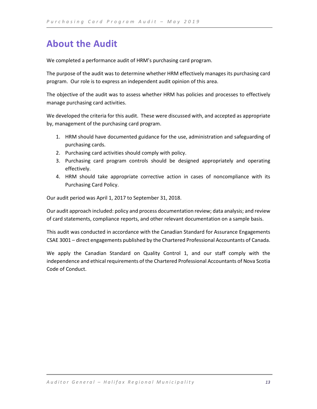# <span id="page-13-0"></span>**About the Audit**

We completed a performance audit of HRM's purchasing card program.

The purpose of the audit was to determine whether HRM effectively manages its purchasing card program. Our role is to express an independent audit opinion of this area.

The objective of the audit was to assess whether HRM has policies and processes to effectively manage purchasing card activities.

We developed the criteria for this audit. These were discussed with, and accepted as appropriate by, management of the purchasing card program.

- 1. HRM should have documented guidance for the use, administration and safeguarding of purchasing cards.
- 2. Purchasing card activities should comply with policy.
- 3. Purchasing card program controls should be designed appropriately and operating effectively.
- 4. HRM should take appropriate corrective action in cases of noncompliance with its Purchasing Card Policy.

Our audit period was April 1, 2017 to September 31, 2018.

Our audit approach included: policy and process documentation review; data analysis; and review of card statements, compliance reports, and other relevant documentation on a sample basis.

This audit was conducted in accordance with the Canadian Standard for Assurance Engagements CSAE 3001 – direct engagements published by the Chartered Professional Accountants of Canada.

We apply the Canadian Standard on Quality Control 1, and our staff comply with the independence and ethical requirements of the Chartered Professional Accountants of Nova Scotia Code of Conduct.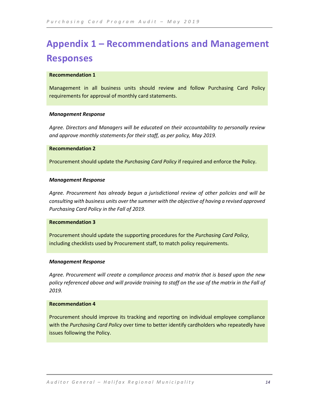# <span id="page-14-0"></span>**Appendix 1 – Recommendations and Management Responses**

#### **Recommendation 1**

Management in all business units should review and follow Purchasing Card Policy requirements for approval of monthly card statements.

#### *Management Response*

*Agree. Directors and Managers will be educated on their accountability to personally review and approve monthly statements for their staff, as per policy, May 2019.*

#### **Recommendation 2**

Procurement should update the *Purchasing Card Policy* if required and enforce the Policy.

#### *Management Response*

*Agree. Procurement has already begun a jurisdictional review of other policies and will be consulting with business units over the summer with the objective of having a revised approved Purchasing Card Policy in the Fall of 2019.*

#### **Recommendation 3**

Procurement should update the supporting procedures for the *Purchasing Card Policy*, including checklists used by Procurement staff, to match policy requirements.

#### *Management Response*

*Agree. Procurement will create a compliance process and matrix that is based upon the new policy referenced above and will provide training to staff on the use of the matrix in the Fall of 2019.*

#### **Recommendation 4**

Procurement should improve its tracking and reporting on individual employee compliance with the *Purchasing Card Policy* over time to better identify cardholders who repeatedly have issues following the Policy.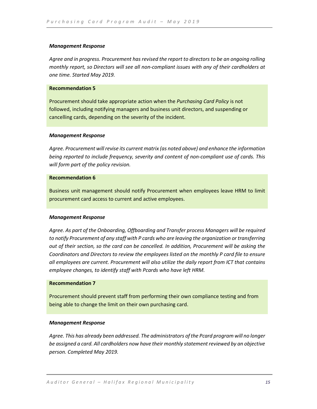#### *Management Response*

*Agree and in progress. Procurement has revised the report to directors to be an ongoing rolling monthly report, so Directors will see all non-compliant issues with any of their cardholders at one time. Started May 2019.*

#### **Recommendation 5**

Procurement should take appropriate action when the *Purchasing Card Policy* is not followed, including notifying managers and business unit directors, and suspending or cancelling cards, depending on the severity of the incident.

#### *Management Response*

*Agree. Procurement will revise its current matrix (as noted above) and enhance the information being reported to include frequency, severity and content of non-compliant use of cards. This will form part of the policy revision.*

#### **Recommendation 6**

Business unit management should notify Procurement when employees leave HRM to limit procurement card access to current and active employees.

#### *Management Response*

*Agree. As part of the Onboarding, Offboarding and Transfer process Managers will be required to notify Procurement of any staff with P cards who are leaving the organization or transferring out of their section, so the card can be cancelled. In addition, Procurement will be asking the Coordinators and Directors to review the employees listed on the monthly P card file to ensure all employees are current. Procurement will also utilize the daily report from ICT that contains employee changes, to identify staff with Pcards who have left HRM.*

#### **Recommendation 7**

Procurement should prevent staff from performing their own compliance testing and from being able to change the limit on their own purchasing card.

#### *Management Response*

*Agree. This has already been addressed. The administrators of the Pcard program will no longer be assigned a card. All cardholders now have their monthly statement reviewed by an objective person. Completed May 2019.*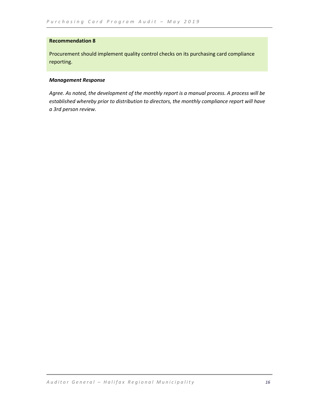#### **Recommendation 8**

Procurement should implement quality control checks on its purchasing card compliance reporting.

#### *Management Response*

*Agree. As noted, the development of the monthly report is a manual process. A process will be established whereby prior to distribution to directors, the monthly compliance report will have a 3rd person review.*